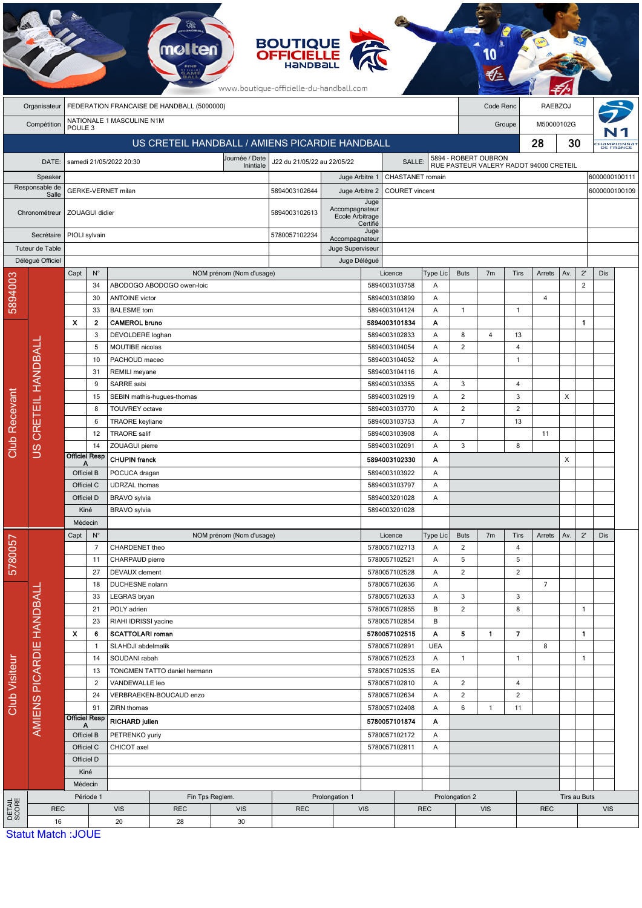|                         |                                                            |                                                 |                                    |                                     | <b>molten</b>                 |                             | <b>BOUTIQUE</b><br><b>OFFICIELLE</b><br>www.boutique-officielle-du-handball.com |                                          |                                         |                                |                 |                                        |                      |                |                |                |                |                               |
|-------------------------|------------------------------------------------------------|-------------------------------------------------|------------------------------------|-------------------------------------|-------------------------------|-----------------------------|---------------------------------------------------------------------------------|------------------------------------------|-----------------------------------------|--------------------------------|-----------------|----------------------------------------|----------------------|----------------|----------------|----------------|----------------|-------------------------------|
|                         | FEDERATION FRANCAISE DE HANDBALL (5000000)<br>Organisateur |                                                 |                                    |                                     |                               |                             |                                                                                 |                                          |                                         |                                |                 |                                        | Code Renc            |                |                | <b>RAEBZOJ</b> |                |                               |
|                         | Compétition                                                | NATIONALE 1 MASCULINE N1M<br>POULE <sub>3</sub> |                                    |                                     |                               |                             |                                                                                 |                                          |                                         |                                | Groupe          |                                        |                      | M50000102G     |                |                |                |                               |
|                         |                                                            | US CRETEIL HANDBALL / AMIENS PICARDIE HANDBALL  |                                    |                                     |                               |                             |                                                                                 |                                          |                                         |                                |                 |                                        | 28                   |                |                | 30             |                | <b>HAMPIONNA</b><br>DE FRANCE |
|                         | DATE:                                                      |                                                 |                                    | samedi 21/05/2022 20:30             |                               | Journée / Date<br>Inintiale | J22 du 21/05/22 au 22/05/22                                                     |                                          |                                         | SALLE:                         |                 |                                        | 5894 - ROBERT OUBRON |                |                |                |                |                               |
| Speaker                 |                                                            |                                                 |                                    |                                     |                               |                             | CHASTANET romain<br>Juge Arbitre 1                                              |                                          |                                         |                                |                 | RUE PASTEUR VALERY RADOT 94000 CRETEIL |                      |                |                |                |                | 6000000100111                 |
| Responsable de<br>Salle |                                                            |                                                 |                                    | GERKE-VERNET milan                  |                               |                             | 5894003102644                                                                   |                                          | <b>COURET</b> vincent<br>Juge Arbitre 2 |                                |                 |                                        |                      |                |                |                |                | 6000000100109                 |
|                         | Chronométreur                                              |                                                 | ZOUAGUI didier                     |                                     |                               |                             | 5894003102613                                                                   | Accompagnateur<br><b>Ecole Arbitrage</b> | Juge<br>Certifié                        |                                |                 |                                        |                      |                |                |                |                |                               |
|                         | Secrétaire                                                 | PIOLI sylvain                                   |                                    |                                     |                               |                             | 5780057102234<br>Accompagnateur                                                 |                                          | Juge                                    |                                |                 |                                        |                      |                |                |                |                |                               |
| Tuteur de Table         |                                                            |                                                 |                                    |                                     |                               |                             |                                                                                 | Juge Superviseur                         |                                         |                                |                 |                                        |                      |                |                |                |                |                               |
|                         | Délégué Officiel                                           | Capt                                            | $N^{\circ}$                        |                                     |                               | NOM prénom (Nom d'usage)    |                                                                                 | Juge Délégué                             |                                         | Licence                        | Type Lic        | <b>Buts</b>                            | 7 <sub>m</sub>       | Tirs           | Arrets         | Av.            | $2^{\prime}$   | Dis                           |
| 5894003                 |                                                            |                                                 | 34                                 |                                     | ABODOGO ABODOGO owen-loic     |                             |                                                                                 |                                          |                                         | 5894003103758                  | A               |                                        |                      |                |                |                | $\overline{2}$ |                               |
|                         |                                                            |                                                 | 30                                 | <b>ANTOINE</b> victor               |                               |                             |                                                                                 |                                          |                                         | 5894003103899                  | Α               |                                        |                      |                | $\overline{4}$ |                |                |                               |
|                         |                                                            |                                                 | 33                                 | <b>BALESME</b> tom                  |                               |                             |                                                                                 |                                          |                                         | 5894003104124                  | Α               | 1                                      |                      | $\mathbf{1}$   |                |                |                |                               |
|                         |                                                            | X                                               | 2                                  | <b>CAMEROL bruno</b>                |                               |                             |                                                                                 |                                          |                                         | 5894003101834                  | A               |                                        |                      |                |                |                | 1              |                               |
|                         |                                                            |                                                 | 3                                  | DEVOLDERE loghan                    |                               |                             |                                                                                 |                                          |                                         | 5894003102833                  | Α               | 8                                      | $\overline{4}$       | 13             |                |                |                |                               |
|                         |                                                            |                                                 | 5                                  | MOUTIBE nicolas                     |                               |                             |                                                                                 |                                          |                                         | 5894003104054                  | A               | 2                                      |                      | $\overline{4}$ |                |                |                |                               |
|                         |                                                            |                                                 | 10<br>31                           | PACHOUD maceo                       |                               |                             |                                                                                 |                                          |                                         | 5894003104052                  | Α<br>Α          |                                        |                      | $\overline{1}$ |                |                |                |                               |
|                         |                                                            |                                                 | 9                                  | SARRE sabi                          | REMILI meyane                 |                             |                                                                                 |                                          |                                         | 5894003104116<br>5894003103355 |                 | 3                                      |                      | 4              |                |                |                |                               |
|                         |                                                            |                                                 | 15                                 |                                     | SEBIN mathis-hugues-thomas    |                             |                                                                                 |                                          |                                         | 5894003102919                  | A<br>A          | $\overline{2}$                         |                      | 3              |                | X              |                |                               |
|                         | CRETEIL HANDBALI<br>SU                                     |                                                 | 8                                  | <b>TOUVREY</b> octave               |                               |                             |                                                                                 |                                          |                                         | 5894003103770                  | Α               | $\overline{c}$                         |                      | $\overline{2}$ |                |                |                |                               |
|                         |                                                            |                                                 | 6                                  | <b>TRAORE</b> keyliane              |                               |                             |                                                                                 |                                          |                                         | 5894003103753                  | A               | $\overline{7}$                         |                      | 13             |                |                |                |                               |
|                         |                                                            |                                                 | 12                                 | <b>TRAORE</b> salif                 |                               |                             |                                                                                 |                                          |                                         | 5894003103908                  | Α               |                                        |                      |                | 11             |                |                |                               |
| <b>Club Recevant</b>    |                                                            |                                                 | 14                                 | ZOUAGUI pierre                      |                               |                             |                                                                                 |                                          | 5894003102091                           |                                | Α               | 3                                      |                      | 8              |                |                |                |                               |
|                         |                                                            | <b>Officiel Resp</b><br>A                       |                                    | <b>CHUPIN franck</b>                |                               |                             |                                                                                 |                                          |                                         | 5894003102330                  | Α               |                                        |                      |                |                | X              |                |                               |
|                         |                                                            | Officiel B                                      |                                    | POCUCA dragan                       |                               |                             |                                                                                 |                                          | 5894003103922<br>Α                      |                                |                 |                                        |                      |                |                |                |                |                               |
|                         |                                                            | Officiel C                                      |                                    | <b>UDRZAL</b> thomas                |                               |                             |                                                                                 |                                          | 5894003103797<br>A                      |                                |                 |                                        |                      |                |                |                |                |                               |
|                         |                                                            | Officiel D                                      |                                    | BRAVO sylvia                        |                               |                             |                                                                                 |                                          | 5894003201028<br>A                      |                                |                 |                                        |                      |                |                |                |                |                               |
|                         |                                                            | Kiné                                            |                                    | <b>BRAVO</b> sylvia                 |                               |                             |                                                                                 |                                          | 5894003201028                           |                                |                 |                                        |                      |                |                |                |                |                               |
|                         |                                                            | Médecin                                         |                                    |                                     |                               |                             |                                                                                 |                                          |                                         | Licence                        |                 | <b>Buts</b>                            | 7m                   | Tirs           | Arrets         | Av.            | $2^{\prime}$   | Dis                           |
| 5780057                 |                                                            | Capt                                            | $N^{\circ}$<br>$\overline{7}$      | CHARDENET theo                      |                               | NOM prénom (Nom d'usage)    |                                                                                 |                                          |                                         | 5780057102713                  | Type Lic<br>Α   | $\overline{2}$                         |                      | $\overline{4}$ |                |                |                |                               |
|                         |                                                            |                                                 | 11                                 | CHARPAUD pierre                     |                               |                             |                                                                                 |                                          | 5780057102521                           |                                | Α               | 5                                      |                      | 5              |                |                |                |                               |
|                         |                                                            |                                                 | 27                                 | DEVAUX clement                      |                               |                             |                                                                                 |                                          |                                         | 5780057102528                  | Α               | $\overline{2}$                         |                      | $\overline{2}$ |                |                |                |                               |
|                         |                                                            |                                                 | 18                                 | DUCHESNE nolann                     |                               |                             |                                                                                 |                                          |                                         | 5780057102636                  | Α               |                                        |                      |                | $\overline{7}$ |                |                |                               |
|                         | AMIENS PICARDIE HANDBALL                                   | 33<br>21                                        |                                    | LEGRAS bryan                        |                               |                             |                                                                                 |                                          |                                         | 5780057102633                  | A               | $\mathbf{3}$                           |                      | 3              |                |                |                |                               |
|                         |                                                            |                                                 |                                    | POLY adrien                         |                               |                             |                                                                                 |                                          |                                         | 5780057102855                  | B               | $\overline{2}$                         |                      | 8              |                |                | 1              |                               |
|                         |                                                            |                                                 | 23                                 | RIAHI IDRISSI yacine                |                               |                             |                                                                                 |                                          |                                         | 5780057102854                  | B               |                                        |                      |                |                |                |                |                               |
|                         |                                                            | X                                               | 6                                  | <b>SCATTOLARI roman</b>             |                               |                             |                                                                                 |                                          |                                         | 5780057102515                  | Α               | 5                                      | $\mathbf{1}$         | 7              |                |                | 1              |                               |
|                         |                                                            |                                                 | -1<br>14                           | SLAHDJI abdelmalik<br>SOUDANI rabah |                               |                             |                                                                                 |                                          |                                         | 5780057102891<br>5780057102523 | <b>UEA</b><br>Α | $\mathbf{1}$                           |                      | $\mathbf{1}$   | 8              |                | $\mathbf{1}$   |                               |
|                         |                                                            |                                                 | TONGMEN TATTO daniel hermann<br>13 |                                     |                               |                             | 5780057102535                                                                   |                                          | EA                                      |                                |                 |                                        |                      |                |                |                |                |                               |
|                         |                                                            |                                                 | $\overline{2}$                     | VANDEWALLE leo                      |                               |                             |                                                                                 |                                          |                                         | 5780057102810                  | Α               | $\overline{2}$                         |                      | $\overline{4}$ |                |                |                |                               |
| Club Visiteur           |                                                            |                                                 | 24                                 |                                     | VERBRAEKEN-BOUCAUD enzo       |                             |                                                                                 |                                          |                                         | 5780057102634                  | A               | $\overline{c}$                         |                      | $\overline{2}$ |                |                |                |                               |
|                         |                                                            |                                                 | 91                                 | ZIRN thomas                         |                               |                             |                                                                                 |                                          | 5780057102408                           |                                | A               | 6                                      | $\mathbf{1}$         | 11             |                |                |                |                               |
|                         |                                                            | <b>Officiel Resp</b><br>A                       |                                    | <b>RICHARD julien</b>               |                               |                             |                                                                                 |                                          | 5780057101874                           |                                | Α               |                                        |                      |                |                |                |                |                               |
|                         |                                                            | Officiel B                                      |                                    | PETRENKO yuriy                      |                               |                             |                                                                                 | 5780057102172                            |                                         | Α                              |                 |                                        |                      |                |                |                |                |                               |
|                         |                                                            |                                                 | CHICOT axel<br>Officiel C          |                                     |                               |                             |                                                                                 | 5780057102811                            |                                         | Α                              |                 |                                        |                      |                |                |                |                |                               |
|                         |                                                            | Officiel D                                      |                                    |                                     |                               |                             |                                                                                 |                                          |                                         |                                |                 |                                        |                      |                |                |                |                |                               |
|                         |                                                            | Kiné                                            |                                    |                                     |                               |                             |                                                                                 |                                          |                                         |                                |                 |                                        |                      |                |                |                |                |                               |
|                         |                                                            | Médecin                                         |                                    |                                     |                               |                             |                                                                                 |                                          |                                         |                                | Prolongation 2  |                                        |                      |                | Tirs au Buts   |                |                |                               |
| DETAIL<br>SCORE         | <b>REC</b>                                                 |                                                 | Période 1                          | <b>VIS</b>                          | Fin Tps Reglem.<br><b>REC</b> | <b>VIS</b>                  | <b>REC</b>                                                                      | Prolongation 1                           | <b>VIS</b>                              |                                | <b>REC</b>      | <b>VIS</b><br><b>REC</b>               |                      |                | <b>VIS</b>     |                |                |                               |
|                         | 16                                                         |                                                 |                                    | 20                                  | 28                            | 30                          |                                                                                 |                                          |                                         |                                |                 |                                        |                      |                |                |                |                |                               |
|                         |                                                            | $C_{\text{total}}$ Motob $\cdot$ IOLIE          |                                    |                                     |                               |                             |                                                                                 |                                          |                                         |                                |                 |                                        |                      |                |                |                |                |                               |

**PARTIES** 

Statut Match :JOUE